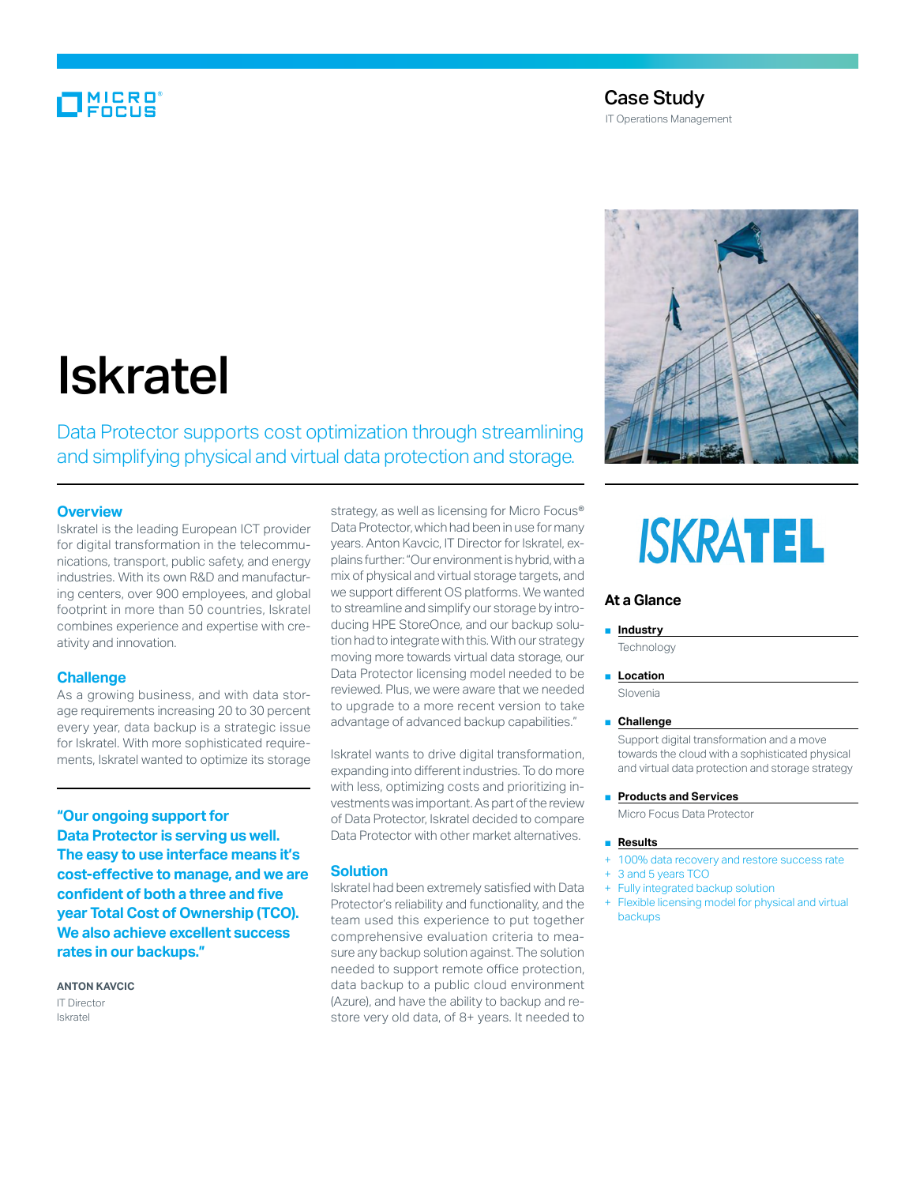# MICRO

# Case Study IT Operations Management



# Iskratel

Data Protector supports cost optimization through streamlining and simplifying physical and virtual data protection and storage.

# **Overview**

Iskratel is the leading European ICT provider for digital transformation in the telecommunications, transport, public safety, and energy industries. With its own R&D and manufacturing centers, over 900 employees, and global footprint in more than 50 countries, Iskratel combines experience and expertise with creativity and innovation.

### **Challenge**

As a growing business, and with data storage requirements increasing 20 to 30 percent every year, data backup is a strategic issue for Iskratel. With more sophisticated requirements, Iskratel wanted to optimize its storage

**"Our ongoing support for Data Protector is serving us well. The easy to use interface means it's cost-effective to manage, and we are confident of both a three and five year Total Cost of Ownership (TCO). We also achieve excellent success rates in our backups."**

**Anton Kavcic** IT Director Iskratel

strategy, as well as licensing for Micro Focus® Data Protector, which had been in use for many years. Anton Kavcic, IT Director for Iskratel, explains further: "Our environment is hybrid, with a mix of physical and virtual storage targets, and we support different OS platforms. We wanted to streamline and simplify our storage by introducing HPE StoreOnce, and our backup solution had to integrate with this. With our strategy moving more towards virtual data storage, our Data Protector licensing model needed to be reviewed. Plus, we were aware that we needed to upgrade to a more recent version to take advantage of advanced backup capabilities."

Iskratel wants to drive digital transformation, expanding into different industries. To do more with less, optimizing costs and prioritizing investments was important. As part of the review of Data Protector, Iskratel decided to compare Data Protector with other market alternatives.

# **Solution**

Iskratel had been extremely satisfied with Data Protector's reliability and functionality, and the team used this experience to put together comprehensive evaluation criteria to measure any backup solution against. The solution needed to support remote office protection, data backup to a public cloud environment (Azure), and have the ability to backup and restore very old data, of 8+ years. It needed to

# **ISKRATEL**

# **At a Glance**

#### ■ **Industry**

**Technology** 

■ **Location** 

Slovenia

#### ■ **Challenge**

Support digital transformation and a move towards the cloud with a sophisticated physical and virtual data protection and storage strategy

#### ■ **Products and Services**

Micro Focus Data Protector

#### ■ **Results**

- 100% data recovery and restore success rate
- 3 and 5 years TCO
- Fully integrated backup solution
- + Flexible licensing model for physical and virtual backups